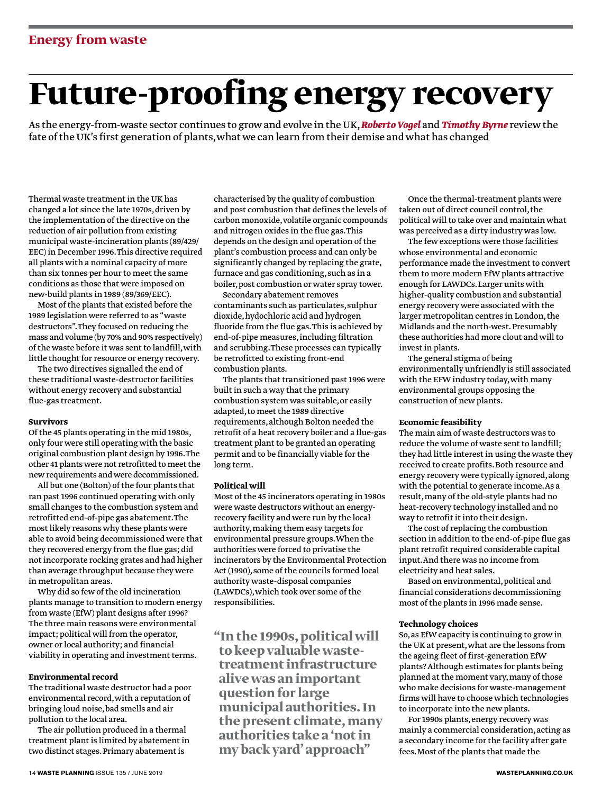# **Future-proofing energy recovery**

As the energy-from-waste sector continues to grow and evolve in the UK, *Roberto Vogel* and *Timothy Byrne* review the fate of the UK's first generation of plants, what we can learn from their demise and what has changed

Thermal waste treatment in the UK has changed a lot since the late 1970s, driven by the implementation of the directive on the reduction of air pollution from existing municipal waste-incineration plants (89/429/ EEC) in December 1996. This directive required all plants with a nominal capacity of more than six tonnes per hour to meet the same conditions as those that were imposed on new-build plants in 1989 (89/369/EEC).

Most of the plants that existed before the 1989 legislation were referred to as "waste destructors". They focused on reducing the mass and volume (by 70% and 90% respectively) of the waste before it was sent to landfill, with little thought for resource or energy recovery.

The two directives signalled the end of these traditional waste-destructor facilities without energy recovery and substantial flue-gas treatment.

# **Survivors**

Of the 45 plants operating in the mid 1980s, only four were still operating with the basic original combustion plant design by 1996. The other 41 plants were not retrofitted to meet the new requirements and were decommissioned.

All but one (Bolton) of the four plants that ran past 1996 continued operating with only small changes to the combustion system and retrofitted end-of-pipe gas abatement. The most likely reasons why these plants were able to avoid being decommissioned were that they recovered energy from the flue gas; did not incorporate rocking grates and had higher than average throughput because they were in metropolitan areas.

Why did so few of the old incineration plants manage to transition to modern energy from waste (EfW) plant designs after 1996? The three main reasons were environmental impact; political will from the operator, owner or local authority; and financial viability in operating and investment terms.

#### **Environmental record**

The traditional waste destructor had a poor environmental record, with a reputation of bringing loud noise, bad smells and air pollution to the local area.

The air pollution produced in a thermal treatment plant is limited by abatement in two distinct stages. Primary abatement is

characterised by the quality of combustion and post combustion that defines the levels of carbon monoxide, volatile organic compounds and nitrogen oxides in the flue gas. This depends on the design and operation of the plant's combustion process and can only be significantly changed by replacing the grate, furnace and gas conditioning, such as in a boiler, post combustion or water spray tower.

Secondary abatement removes contaminants such as particulates, sulphur dioxide, hydochloric acid and hydrogen fluoride from the flue gas. This is achieved by end-of-pipe measures, including filtration and scrubbing. These processes can typically be retrofitted to existing front-end combustion plants.

The plants that transitioned past 1996 were built in such a way that the primary combustion system was suitable, or easily adapted, to meet the 1989 directive requirements, although Bolton needed the retrofit of a heat recovery boiler and a flue-gas treatment plant to be granted an operating permit and to be financially viable for the long term.

# **Political will**

Most of the 45 incinerators operating in 1980s were waste destructors without an energyrecovery facility and were run by the local authority, making them easy targets for environmental pressure groups. When the authorities were forced to privatise the incinerators by the Environmental Protection Act (1990), some of the councils formed local authority waste-disposal companies (LAWDCs), which took over some of the responsibilities.

**"In the 1990s, political will to keep valuable wastetreatment infrastructure alive was an important question for large municipal authorities. In the present climate, many authorities take a 'not in my back yard' approach"**

Once the thermal-treatment plants were taken out of direct council control, the political will to take over and maintain what was perceived as a dirty industry was low.

The few exceptions were those facilities whose environmental and economic performance made the investment to convert them to more modern EfW plants attractive enough for LAWDCs. Larger units with higher-quality combustion and substantial energy recovery were associated with the larger metropolitan centres in London, the Midlands and the north-west. Presumably these authorities had more clout and will to invest in plants.

The general stigma of being environmentally unfriendly is still associated with the EFW industry today, with many environmental groups opposing the construction of new plants.

#### **Economic feasibility**

The main aim of waste destructors was to reduce the volume of waste sent to landfill; they had little interest in using the waste they received to create profits. Both resource and energy recovery were typically ignored, along with the potential to generate income. As a result, many of the old-style plants had no heat-recovery technology installed and no way to retrofit it into their design.

The cost of replacing the combustion section in addition to the end-of-pipe flue gas plant retrofit required considerable capital input. And there was no income from electricity and heat sales.

Based on environmental, political and financial considerations decommissioning most of the plants in 1996 made sense.

# **Technology choices**

So, as EfW capacity is continuing to grow in the UK at present, what are the lessons from the ageing fleet of first-generation EfW plants? Although estimates for plants being planned at the moment vary, many of those who make decisions for waste-management firms will have to choose which technologies to incorporate into the new plants.

For 1990s plants, energy recovery was mainly a commercial consideration, acting as a secondary income for the facility after gate fees. Most of the plants that made the